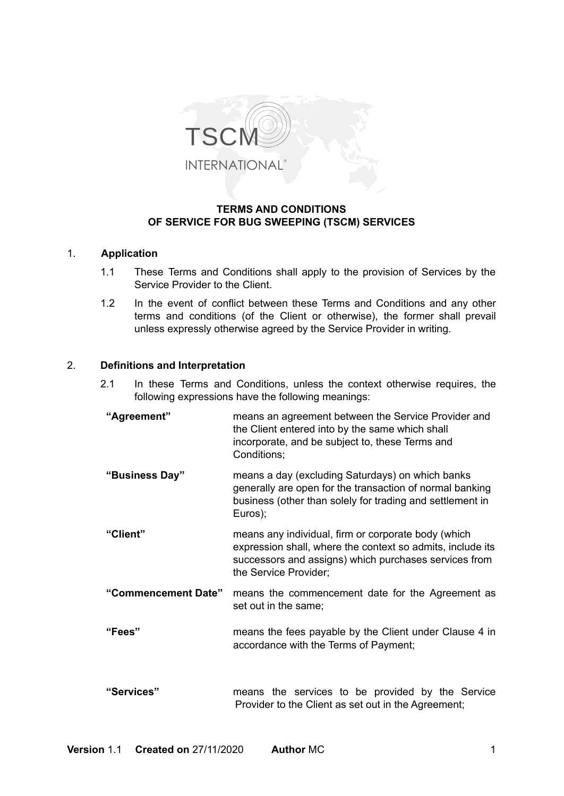

# **TERMS AND CONDITIONS OF SERVICE FOR BUG SWEEPING (TSCM) SERVICES**

### 1. **Application**

- 1.1 These Terms and Conditions shall apply to the provision of Services by the Service Provider to the Client.
- 1.2 In the event of conflict between these Terms and Conditions and any other terms and conditions (of the Client or otherwise), the former shall prevail unless expressly otherwise agreed by the Service Provider in writing.

### 2. **Definitions and Interpretation**

- 2.1 In these Terms and Conditions, unless the context otherwise requires, the following expressions have the following meanings:
- **"Agreement"** means an agreement between the Service Provider and the Client entered into by the same which shall incorporate, and be subject to, these Terms and Conditions; **"Business Day"** means a day (excluding Saturdays) on which banks generally are open for the transaction of normal banking business (other than solely for trading and settlement in Euros); **"Client"** means any individual, firm or corporate body (which expression shall, where the context so admits, include its successors and assigns) which purchases services from the Service Provider; **"Commencement Date"** means the commencement date for the Agreement as set out in the same; **"Fees"** means the fees payable by the Client under Clause 4 in accordance with the Terms of Payment; **"Services"** means the services to be provided by the Service Provider to the Client as set out in the Agreement;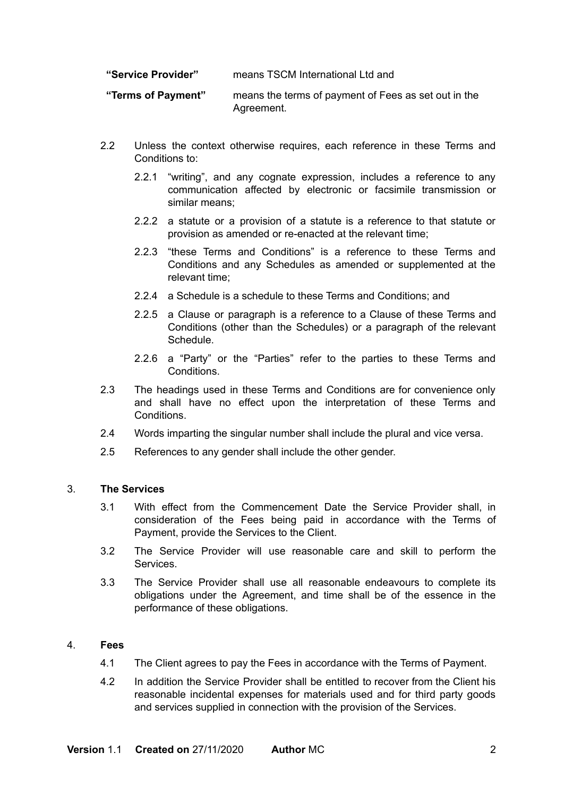**"Service Provider"** means TSCM International Ltd and

**"Terms of Payment"** means the terms of payment of Fees as set out in the Agreement.

- 2.2 Unless the context otherwise requires, each reference in these Terms and Conditions to:
	- 2.2.1 "writing", and any cognate expression, includes a reference to any communication affected by electronic or facsimile transmission or similar means;
	- 2.2.2 a statute or a provision of a statute is a reference to that statute or provision as amended or re-enacted at the relevant time;
	- 2.2.3 "these Terms and Conditions" is a reference to these Terms and Conditions and any Schedules as amended or supplemented at the relevant time;
	- 2.2.4 a Schedule is a schedule to these Terms and Conditions; and
	- 2.2.5 a Clause or paragraph is a reference to a Clause of these Terms and Conditions (other than the Schedules) or a paragraph of the relevant Schedule.
	- 2.2.6 a "Party" or the "Parties" refer to the parties to these Terms and Conditions.
- 2.3 The headings used in these Terms and Conditions are for convenience only and shall have no effect upon the interpretation of these Terms and Conditions.
- 2.4 Words imparting the singular number shall include the plural and vice versa.
- 2.5 References to any gender shall include the other gender.

#### 3. **The Services**

- 3.1 With effect from the Commencement Date the Service Provider shall, in consideration of the Fees being paid in accordance with the Terms of Payment, provide the Services to the Client.
- 3.2 The Service Provider will use reasonable care and skill to perform the **Services**
- 3.3 The Service Provider shall use all reasonable endeavours to complete its obligations under the Agreement, and time shall be of the essence in the performance of these obligations.

# 4. **Fees**

- 4.1 The Client agrees to pay the Fees in accordance with the Terms of Payment.
- 4.2 In addition the Service Provider shall be entitled to recover from the Client his reasonable incidental expenses for materials used and for third party goods and services supplied in connection with the provision of the Services.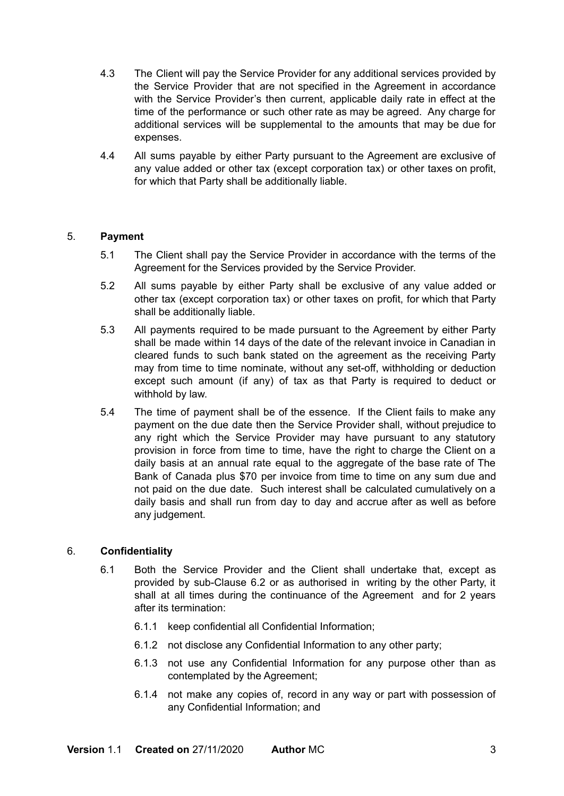- 4.3 The Client will pay the Service Provider for any additional services provided by the Service Provider that are not specified in the Agreement in accordance with the Service Provider's then current, applicable daily rate in effect at the time of the performance or such other rate as may be agreed. Any charge for additional services will be supplemental to the amounts that may be due for expenses.
- 4.4 All sums payable by either Party pursuant to the Agreement are exclusive of any value added or other tax (except corporation tax) or other taxes on profit, for which that Party shall be additionally liable.

# 5. **Payment**

- 5.1 The Client shall pay the Service Provider in accordance with the terms of the Agreement for the Services provided by the Service Provider.
- 5.2 All sums payable by either Party shall be exclusive of any value added or other tax (except corporation tax) or other taxes on profit, for which that Party shall be additionally liable.
- 5.3 All payments required to be made pursuant to the Agreement by either Party shall be made within 14 days of the date of the relevant invoice in Canadian in cleared funds to such bank stated on the agreement as the receiving Party may from time to time nominate, without any set-off, withholding or deduction except such amount (if any) of tax as that Party is required to deduct or withhold by law.
- 5.4 The time of payment shall be of the essence. If the Client fails to make any payment on the due date then the Service Provider shall, without prejudice to any right which the Service Provider may have pursuant to any statutory provision in force from time to time, have the right to charge the Client on a daily basis at an annual rate equal to the aggregate of the base rate of The Bank of Canada plus \$70 per invoice from time to time on any sum due and not paid on the due date. Such interest shall be calculated cumulatively on a daily basis and shall run from day to day and accrue after as well as before any judgement.

# 6. **Confidentiality**

- 6.1 Both the Service Provider and the Client shall undertake that, except as provided by sub-Clause 6.2 or as authorised in writing by the other Party, it shall at all times during the continuance of the Agreement and for 2 years after its termination:
	- 6.1.1 keep confidential all Confidential Information;
	- 6.1.2 not disclose any Confidential Information to any other party;
	- 6.1.3 not use any Confidential Information for any purpose other than as contemplated by the Agreement;
	- 6.1.4 not make any copies of, record in any way or part with possession of any Confidential Information; and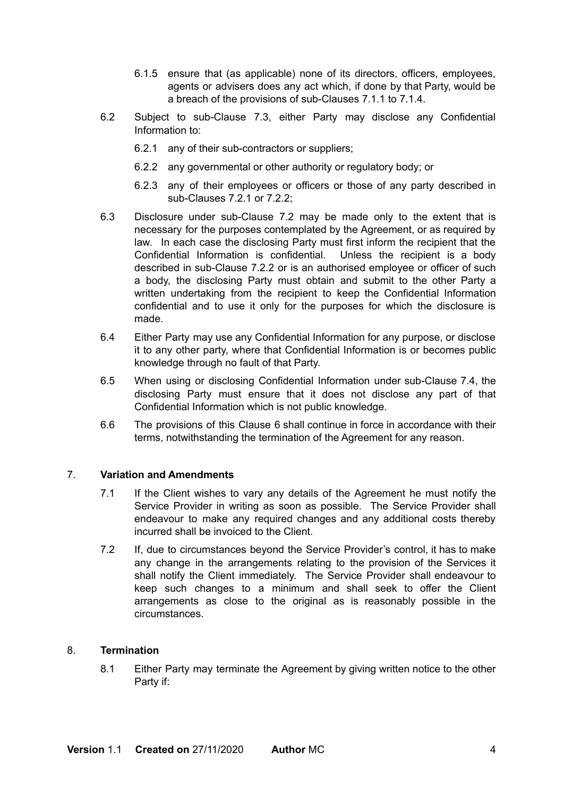- 6.1.5 ensure that (as applicable) none of its directors, officers, employees, agents or advisers does any act which, if done by that Party, would be a breach of the provisions of sub-Clauses 7.1.1 to 7.1.4.
- 6.2 Subject to sub-Clause 7.3, either Party may disclose any Confidential Information to:
	- 6.2.1 any of their sub-contractors or suppliers;
	- 6.2.2 any governmental or other authority or regulatory body; or
	- 6.2.3 any of their employees or officers or those of any party described in sub-Clauses 7.2.1 or 7.2.2;
- 6.3 Disclosure under sub-Clause 7.2 may be made only to the extent that is necessary for the purposes contemplated by the Agreement, or as required by law. In each case the disclosing Party must first inform the recipient that the Confidential Information is confidential. Unless the recipient is a body described in sub-Clause 7.2.2 or is an authorised employee or officer of such a body, the disclosing Party must obtain and submit to the other Party a written undertaking from the recipient to keep the Confidential Information confidential and to use it only for the purposes for which the disclosure is made.
- 6.4 Either Party may use any Confidential Information for any purpose, or disclose it to any other party, where that Confidential Information is or becomes public knowledge through no fault of that Party.
- 6.5 When using or disclosing Confidential Information under sub-Clause 7.4, the disclosing Party must ensure that it does not disclose any part of that Confidential Information which is not public knowledge.
- 6.6 The provisions of this Clause 6 shall continue in force in accordance with their terms, notwithstanding the termination of the Agreement for any reason.

# 7. **Variation and Amendments**

- 7.1 If the Client wishes to vary any details of the Agreement he must notify the Service Provider in writing as soon as possible. The Service Provider shall endeavour to make any required changes and any additional costs thereby incurred shall be invoiced to the Client.
- 7.2 If, due to circumstances beyond the Service Provider's control, it has to make any change in the arrangements relating to the provision of the Services it shall notify the Client immediately. The Service Provider shall endeavour to keep such changes to a minimum and shall seek to offer the Client arrangements as close to the original as is reasonably possible in the circumstances.

# 8. **Termination**

8.1 Either Party may terminate the Agreement by giving written notice to the other Party if: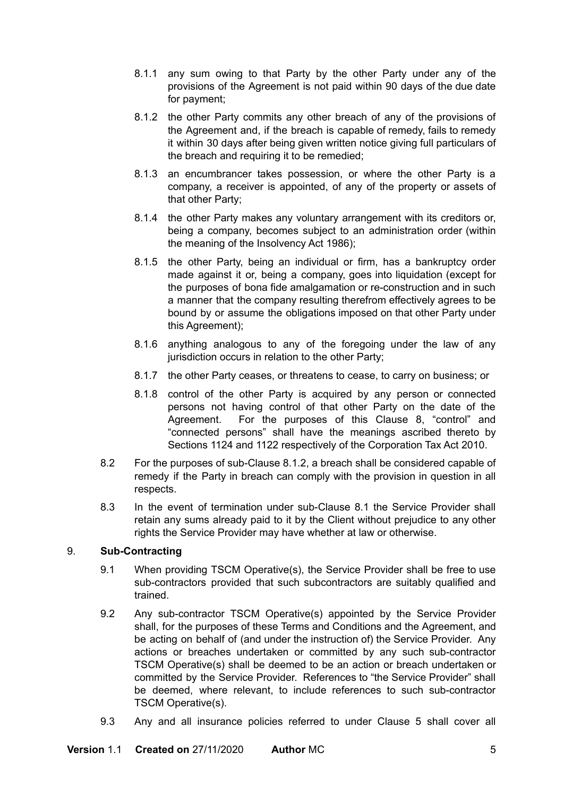- 8.1.1 any sum owing to that Party by the other Party under any of the provisions of the Agreement is not paid within 90 days of the due date for payment;
- 8.1.2 the other Party commits any other breach of any of the provisions of the Agreement and, if the breach is capable of remedy, fails to remedy it within 30 days after being given written notice giving full particulars of the breach and requiring it to be remedied;
- 8.1.3 an encumbrancer takes possession, or where the other Party is a company, a receiver is appointed, of any of the property or assets of that other Party;
- 8.1.4 the other Party makes any voluntary arrangement with its creditors or, being a company, becomes subject to an administration order (within the meaning of the Insolvency Act 1986);
- 8.1.5 the other Party, being an individual or firm, has a bankruptcy order made against it or, being a company, goes into liquidation (except for the purposes of bona fide amalgamation or re-construction and in such a manner that the company resulting therefrom effectively agrees to be bound by or assume the obligations imposed on that other Party under this Agreement);
- 8.1.6 anything analogous to any of the foregoing under the law of any jurisdiction occurs in relation to the other Party;
- 8.1.7 the other Party ceases, or threatens to cease, to carry on business; or
- 8.1.8 control of the other Party is acquired by any person or connected persons not having control of that other Party on the date of the Agreement. For the purposes of this Clause 8, "control" and "connected persons" shall have the meanings ascribed thereto by Sections 1124 and 1122 respectively of the Corporation Tax Act 2010.
- 8.2 For the purposes of sub-Clause 8.1.2, a breach shall be considered capable of remedy if the Party in breach can comply with the provision in question in all respects.
- 8.3 In the event of termination under sub-Clause 8.1 the Service Provider shall retain any sums already paid to it by the Client without prejudice to any other rights the Service Provider may have whether at law or otherwise.

# 9. **Sub-Contracting**

- 9.1 When providing TSCM Operative(s), the Service Provider shall be free to use sub-contractors provided that such subcontractors are suitably qualified and trained.
- 9.2 Any sub-contractor TSCM Operative(s) appointed by the Service Provider shall, for the purposes of these Terms and Conditions and the Agreement, and be acting on behalf of (and under the instruction of) the Service Provider. Any actions or breaches undertaken or committed by any such sub-contractor TSCM Operative(s) shall be deemed to be an action or breach undertaken or committed by the Service Provider. References to "the Service Provider" shall be deemed, where relevant, to include references to such sub-contractor TSCM Operative(s).
- 9.3 Any and all insurance policies referred to under Clause 5 shall cover all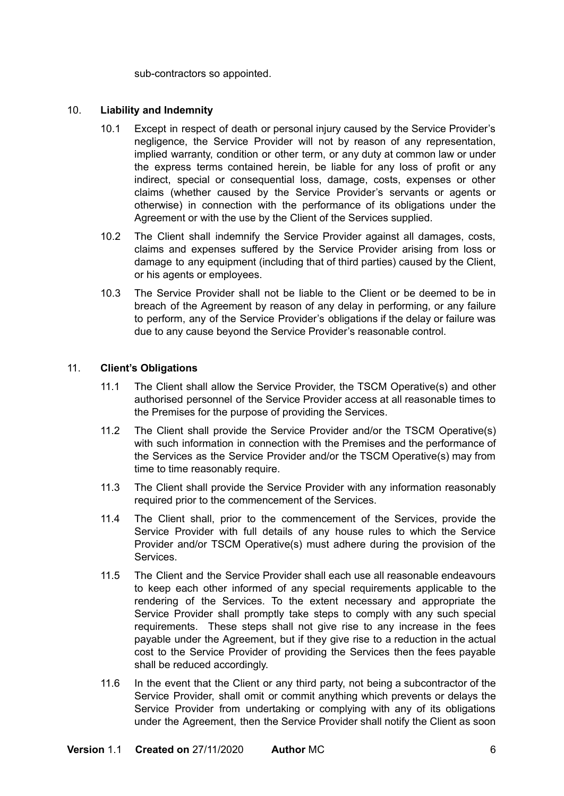sub-contractors so appointed.

# 10. **Liability and Indemnity**

- 10.1 Except in respect of death or personal injury caused by the Service Provider's negligence, the Service Provider will not by reason of any representation, implied warranty, condition or other term, or any duty at common law or under the express terms contained herein, be liable for any loss of profit or any indirect, special or consequential loss, damage, costs, expenses or other claims (whether caused by the Service Provider's servants or agents or otherwise) in connection with the performance of its obligations under the Agreement or with the use by the Client of the Services supplied.
- 10.2 The Client shall indemnify the Service Provider against all damages, costs, claims and expenses suffered by the Service Provider arising from loss or damage to any equipment (including that of third parties) caused by the Client, or his agents or employees.
- 10.3 The Service Provider shall not be liable to the Client or be deemed to be in breach of the Agreement by reason of any delay in performing, or any failure to perform, any of the Service Provider's obligations if the delay or failure was due to any cause beyond the Service Provider's reasonable control.

# 11. **Client's Obligations**

- 11.1 The Client shall allow the Service Provider, the TSCM Operative(s) and other authorised personnel of the Service Provider access at all reasonable times to the Premises for the purpose of providing the Services.
- 11.2 The Client shall provide the Service Provider and/or the TSCM Operative(s) with such information in connection with the Premises and the performance of the Services as the Service Provider and/or the TSCM Operative(s) may from time to time reasonably require.
- 11.3 The Client shall provide the Service Provider with any information reasonably required prior to the commencement of the Services.
- 11.4 The Client shall, prior to the commencement of the Services, provide the Service Provider with full details of any house rules to which the Service Provider and/or TSCM Operative(s) must adhere during the provision of the Services.
- 11.5 The Client and the Service Provider shall each use all reasonable endeavours to keep each other informed of any special requirements applicable to the rendering of the Services. To the extent necessary and appropriate the Service Provider shall promptly take steps to comply with any such special requirements. These steps shall not give rise to any increase in the fees payable under the Agreement, but if they give rise to a reduction in the actual cost to the Service Provider of providing the Services then the fees payable shall be reduced accordingly.
- 11.6 In the event that the Client or any third party, not being a subcontractor of the Service Provider, shall omit or commit anything which prevents or delays the Service Provider from undertaking or complying with any of its obligations under the Agreement, then the Service Provider shall notify the Client as soon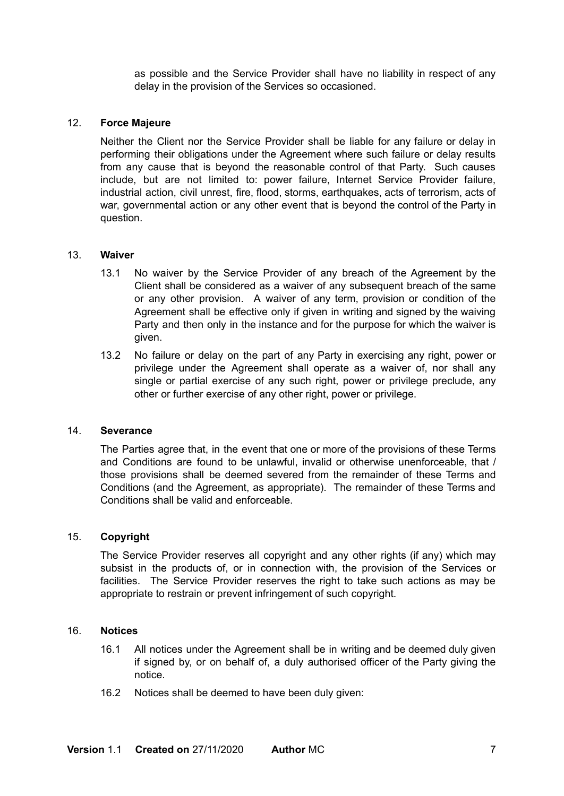as possible and the Service Provider shall have no liability in respect of any delay in the provision of the Services so occasioned.

### 12. **Force Majeure**

Neither the Client nor the Service Provider shall be liable for any failure or delay in performing their obligations under the Agreement where such failure or delay results from any cause that is beyond the reasonable control of that Party. Such causes include, but are not limited to: power failure, Internet Service Provider failure, industrial action, civil unrest, fire, flood, storms, earthquakes, acts of terrorism, acts of war, governmental action or any other event that is beyond the control of the Party in question.

### 13. **Waiver**

- 13.1 No waiver by the Service Provider of any breach of the Agreement by the Client shall be considered as a waiver of any subsequent breach of the same or any other provision. A waiver of any term, provision or condition of the Agreement shall be effective only if given in writing and signed by the waiving Party and then only in the instance and for the purpose for which the waiver is given.
- 13.2 No failure or delay on the part of any Party in exercising any right, power or privilege under the Agreement shall operate as a waiver of, nor shall any single or partial exercise of any such right, power or privilege preclude, any other or further exercise of any other right, power or privilege.

#### 14. **Severance**

The Parties agree that, in the event that one or more of the provisions of these Terms and Conditions are found to be unlawful, invalid or otherwise unenforceable, that / those provisions shall be deemed severed from the remainder of these Terms and Conditions (and the Agreement, as appropriate). The remainder of these Terms and Conditions shall be valid and enforceable.

#### 15. **Copyright**

The Service Provider reserves all copyright and any other rights (if any) which may subsist in the products of, or in connection with, the provision of the Services or facilities. The Service Provider reserves the right to take such actions as may be appropriate to restrain or prevent infringement of such copyright.

### 16. **Notices**

- 16.1 All notices under the Agreement shall be in writing and be deemed duly given if signed by, or on behalf of, a duly authorised officer of the Party giving the notice.
- 16.2 Notices shall be deemed to have been duly given: